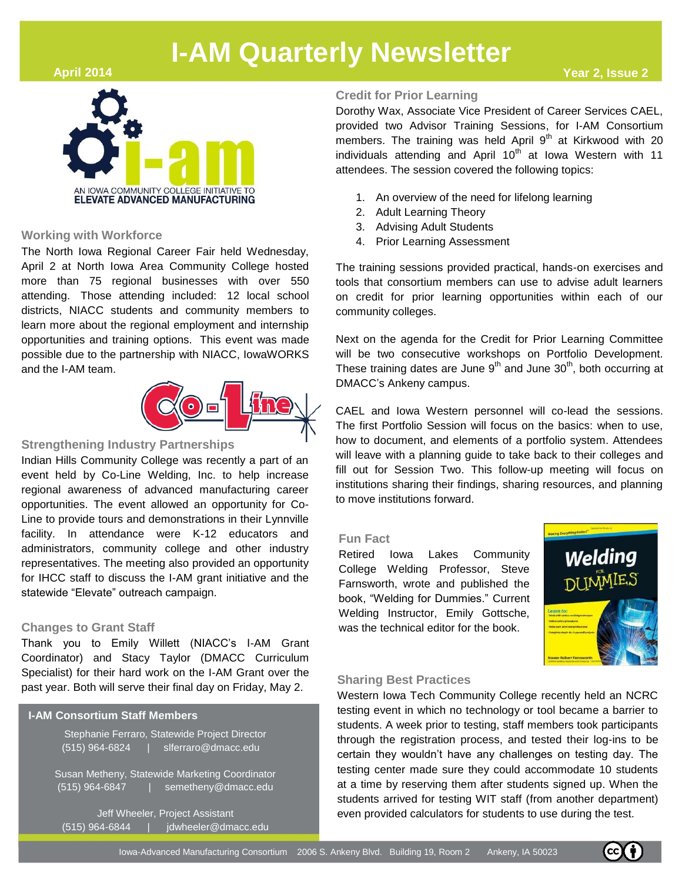### **April 2014**



## **Working with Workforce**

The North Iowa Regional Career Fair held Wednesday, April 2 at North Iowa Area Community College hosted more than 75 regional businesses with over 550 attending. Those attending included: 12 local school districts, NIACC students and community members to learn more about the regional employment and internship opportunities and training options. This event was made possible due to the partnership with NIACC, IowaWORKS and the I-AM team.



### **Strengthening Indus[try Partnerships](http://colinemfg.com/)**

Indian Hills Community College was recently a part of an event held by Co-Line Welding, Inc. to help increase regional awareness of advanced manufacturing career opportunities. The event allowed an opportunity for Co-Line to provide tours and demonstrations in their Lynnville facility. In attendance were K-12 educators and administrators, community college and other industry representatives. The meeting also provided an opportunity for IHCC staff to discuss the I-AM grant initiative and the statewide "Elevate" outreach campaign.

### **Changes to Grant Staff**

Thank you to Emily Willett (NIACC's I-AM Grant Coordinator) and Stacy Taylor (DMACC Curriculum Specialist) for their hard work on the I-AM Grant over the past year. Both will serve their final day on Friday, May 2.

#### **I-AM Consortium Staff Members**

|                | Stephanie Ferraro, Statewide Project Director<br>$(515)$ 964-6824   slferraro@dmacc.edu |
|----------------|-----------------------------------------------------------------------------------------|
| (515) 964-6847 | Susan Metheny, Statewide Marketing Coordinator<br>semetheny@dmacc.edu                   |

Jeff Wheeler, Project Assistant  $(515)$  964-6844 | jdwheeler@dmacc.edu,

### **Credit for Prior Learning**

Dorothy Wax, Associate Vice President of Career Services CAEL, provided two Advisor Training Sessions, for I-AM Consortium members. The training was held April  $9<sup>th</sup>$  at Kirkwood with 20 individuals attending and April  $10<sup>th</sup>$  at Iowa Western with 11 attendees. The session covered the following topics:

- 1. An overview of the need for lifelong learning
- 2. Adult Learning Theory
- 3. Advising Adult Students
- 4. Prior Learning Assessment

The training sessions provided practical, hands-on exercises and tools that consortium members can use to advise adult learners on credit for prior learning opportunities within each of our community colleges.

Next on the agenda for the Credit for Prior Learning Committee will be two consecutive workshops on Portfolio Development. These training dates are June 9<sup>th</sup> and June 30<sup>th</sup>, both occurring at DMACC's Ankeny campus.

CAEL and Iowa Western personnel will co-lead the sessions. The first Portfolio Session will focus on the basics: when to use, how to document, and elements of a portfolio system. Attendees will leave with a planning guide to take back to their colleges and fill out for Session Two. This follow-up meeting will focus on institutions sharing their findings, sharing resources, and planning to move institutions forward.

### **Fun Fact**

Retired Iowa Lakes Community College Welding Professor, Steve Farnsworth, wrote and published the book, "Welding for Dummies." Current Welding Instructor, Emily Gottsche, was the technical editor for the book.



#### **Sharing Best Practices**

Western Iowa Tech Community College recently held an NCRC testing event in which no technology or tool became a barrier to students. A week prior to testing, staff members took participants through the registration process, and tested their log-ins to be certain they wouldn't have any challenges on testing day. The testing center made sure they could accommodate 10 students at a time by reserving them after students signed up. When the students arrived for testing WIT staff (from another department) even provided calculators for students to use during the test.